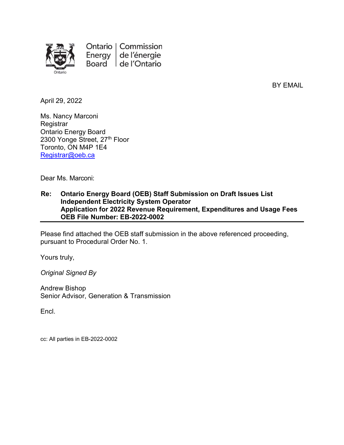

Ontario | Commission Energy de l'énergie Board de l'Ontario

BY EMAIL

April 29, 2022

Ms. Nancy Marconi **Registrar** Ontario Energy Board 2300 Yonge Street, 27th Floor Toronto, ON M4P 1E4 Registrar@oeb.ca

Dear Ms. Marconi:

#### Re: Ontario Energy Board (OEB) Staff Submission on Draft Issues List Independent Electricity System Operator Application for 2022 Revenue Requirement, Expenditures and Usage Fees OEB File Number: EB-2022-0002

Please find attached the OEB staff submission in the above referenced proceeding, pursuant to Procedural Order No. 1.

Yours truly,

Original Signed By

Andrew Bishop Senior Advisor, Generation & Transmission

Encl.

cc: All parties in EB-2022-0002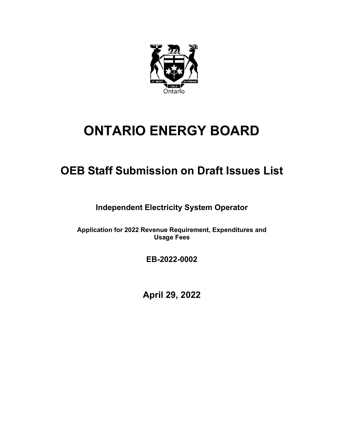

# ONTARIO ENERGY BOARD

# OEB Staff Submission on Draft Issues List

Independent Electricity System Operator

Application for 2022 Revenue Requirement, Expenditures and Usage Fees

EB-2022-0002

April 29, 2022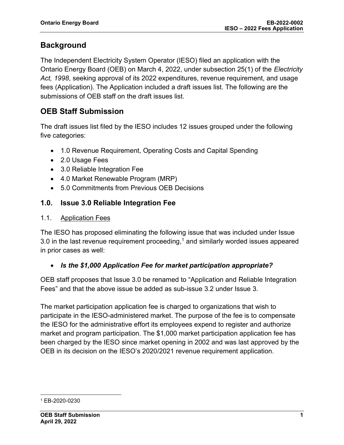## **Background**

The Independent Electricity System Operator (IESO) filed an application with the Ontario Energy Board (OEB) on March 4, 2022, under subsection 25(1) of the Electricity Act, 1998, seeking approval of its 2022 expenditures, revenue requirement, and usage fees (Application). The Application included a draft issues list. The following are the submissions of OEB staff on the draft issues list.

## OEB Staff Submission

The draft issues list filed by the IESO includes 12 issues grouped under the following five categories:

- 1.0 Revenue Requirement, Operating Costs and Capital Spending
- 2.0 Usage Fees
- 3.0 Reliable Integration Fee
- 4.0 Market Renewable Program (MRP)
- 5.0 Commitments from Previous OEB Decisions

#### 1.0. Issue 3.0 Reliable Integration Fee

#### 1.1. Application Fees

The IESO has proposed eliminating the following issue that was included under Issue 3.0 in the last revenue requirement proceeding, $1$  and similarly worded issues appeared in prior cases as well:

#### • Is the \$1,000 Application Fee for market participation appropriate?

OEB staff proposes that Issue 3.0 be renamed to "Application and Reliable Integration Fees" and that the above issue be added as sub-issue 3.2 under Issue 3.

The market participation application fee is charged to organizations that wish to participate in the IESO-administered market. The purpose of the fee is to compensate the IESO for the administrative effort its employees expend to register and authorize market and program participation. The \$1,000 market participation application fee has been charged by the IESO since market opening in 2002 and was last approved by the OEB in its decision on the IESO's 2020/2021 revenue requirement application.

<sup>1</sup> EB-2020-0230